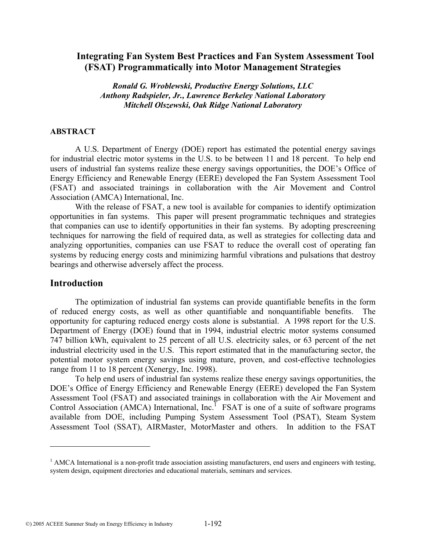## **Integrating Fan System Best Practices and Fan System Assessment Tool (FSAT) Programmatically into Motor Management Strategies**

*Ronald G. Wroblewski, Productive Energy Solutions, LLC Anthony Radspieler, Jr., Lawrence Berkeley National Laboratory Mitchell Olszewski, Oak Ridge National Laboratory* 

#### **ABSTRACT**

A U.S. Department of Energy (DOE) report has estimated the potential energy savings for industrial electric motor systems in the U.S. to be between 11 and 18 percent. To help end users of industrial fan systems realize these energy savings opportunities, the DOE's Office of Energy Efficiency and Renewable Energy (EERE) developed the Fan System Assessment Tool (FSAT) and associated trainings in collaboration with the Air Movement and Control Association (AMCA) International, Inc.

With the release of FSAT, a new tool is available for companies to identify optimization opportunities in fan systems. This paper will present programmatic techniques and strategies that companies can use to identify opportunities in their fan systems. By adopting prescreening techniques for narrowing the field of required data, as well as strategies for collecting data and analyzing opportunities, companies can use FSAT to reduce the overall cost of operating fan systems by reducing energy costs and minimizing harmful vibrations and pulsations that destroy bearings and otherwise adversely affect the process.

#### **Introduction**

 $\overline{a}$ 

The optimization of industrial fan systems can provide quantifiable benefits in the form of reduced energy costs, as well as other quantifiable and nonquantifiable benefits. The opportunity for capturing reduced energy costs alone is substantial. A 1998 report for the U.S. Department of Energy (DOE) found that in 1994, industrial electric motor systems consumed 747 billion kWh, equivalent to 25 percent of all U.S. electricity sales, or 63 percent of the net industrial electricity used in the U.S. This report estimated that in the manufacturing sector, the potential motor system energy savings using mature, proven, and cost-effective technologies range from 11 to 18 percent (Xenergy, Inc. 1998).

To help end users of industrial fan systems realize these energy savings opportunities, the DOE's Office of Energy Efficiency and Renewable Energy (EERE) developed the Fan System Assessment Tool (FSAT) and associated trainings in collaboration with the Air Movement and Control Association (AMCA) International, Inc.<sup>1</sup> FSAT is one of a suite of software programs available from DOE, including Pumping System Assessment Tool (PSAT), Steam System Assessment Tool (SSAT), AIRMaster, MotorMaster and others. In addition to the FSAT

<sup>&</sup>lt;sup>1</sup> AMCA International is a non-profit trade association assisting manufacturers, end users and engineers with testing, system design, equipment directories and educational materials, seminars and services.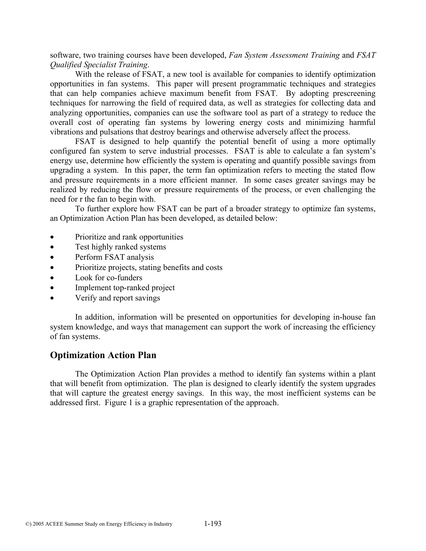software, two training courses have been developed, *Fan System Assessment Training* and *FSAT Qualified Specialist Training*.

With the release of FSAT, a new tool is available for companies to identify optimization opportunities in fan systems. This paper will present programmatic techniques and strategies that can help companies achieve maximum benefit from FSAT. By adopting prescreening techniques for narrowing the field of required data, as well as strategies for collecting data and analyzing opportunities, companies can use the software tool as part of a strategy to reduce the overall cost of operating fan systems by lowering energy costs and minimizing harmful vibrations and pulsations that destroy bearings and otherwise adversely affect the process.

FSAT is designed to help quantify the potential benefit of using a more optimally configured fan system to serve industrial processes. FSAT is able to calculate a fan system's energy use, determine how efficiently the system is operating and quantify possible savings from upgrading a system. In this paper, the term fan optimization refers to meeting the stated flow and pressure requirements in a more efficient manner. In some cases greater savings may be realized by reducing the flow or pressure requirements of the process, or even challenging the need for r the fan to begin with.

To further explore how FSAT can be part of a broader strategy to optimize fan systems, an Optimization Action Plan has been developed, as detailed below:

- Prioritize and rank opportunities
- Test highly ranked systems
- Perform FSAT analysis
- Prioritize projects, stating benefits and costs
- Look for co-funders
- Implement top-ranked project
- Verify and report savings

In addition, information will be presented on opportunities for developing in-house fan system knowledge, and ways that management can support the work of increasing the efficiency of fan systems.

## **Optimization Action Plan**

The Optimization Action Plan provides a method to identify fan systems within a plant that will benefit from optimization. The plan is designed to clearly identify the system upgrades that will capture the greatest energy savings. In this way, the most inefficient systems can be addressed first. Figure 1 is a graphic representation of the approach.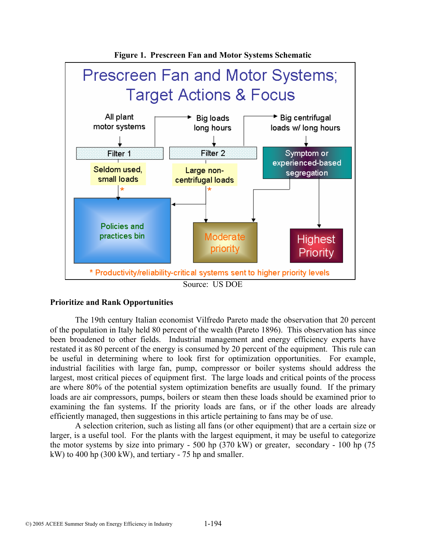

#### **Prioritize and Rank Opportunities**

The 19th century Italian economist Vilfredo Pareto made the observation that 20 percent of the population in Italy held 80 percent of the wealth (Pareto 1896). This observation has since been broadened to other fields. Industrial management and energy efficiency experts have restated it as 80 percent of the energy is consumed by 20 percent of the equipment. This rule can be useful in determining where to look first for optimization opportunities. For example, industrial facilities with large fan, pump, compressor or boiler systems should address the largest, most critical pieces of equipment first. The large loads and critical points of the process are where 80% of the potential system optimization benefits are usually found. If the primary loads are air compressors, pumps, boilers or steam then these loads should be examined prior to examining the fan systems. If the priority loads are fans, or if the other loads are already efficiently managed, then suggestions in this article pertaining to fans may be of use.

A selection criterion, such as listing all fans (or other equipment) that are a certain size or larger, is a useful tool. For the plants with the largest equipment, it may be useful to categorize the motor systems by size into primary - 500 hp (370 kW) or greater, secondary - 100 hp (75 kW) to 400 hp (300 kW), and tertiary - 75 hp and smaller.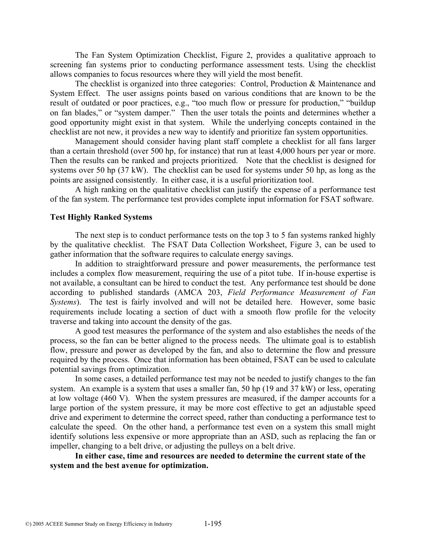The Fan System Optimization Checklist, Figure 2, provides a qualitative approach to screening fan systems prior to conducting performance assessment tests. Using the checklist allows companies to focus resources where they will yield the most benefit.

The checklist is organized into three categories: Control, Production & Maintenance and System Effect. The user assigns points based on various conditions that are known to be the result of outdated or poor practices, e.g., "too much flow or pressure for production," "buildup on fan blades," or "system damper." Then the user totals the points and determines whether a good opportunity might exist in that system. While the underlying concepts contained in the checklist are not new, it provides a new way to identify and prioritize fan system opportunities.

Management should consider having plant staff complete a checklist for all fans larger than a certain threshold (over 500 hp, for instance) that run at least 4,000 hours per year or more. Then the results can be ranked and projects prioritized. Note that the checklist is designed for systems over 50 hp (37 kW). The checklist can be used for systems under 50 hp, as long as the points are assigned consistently. In either case, it is a useful prioritization tool.

A high ranking on the qualitative checklist can justify the expense of a performance test of the fan system. The performance test provides complete input information for FSAT software.

#### **Test Highly Ranked Systems**

The next step is to conduct performance tests on the top 3 to 5 fan systems ranked highly by the qualitative checklist. The FSAT Data Collection Worksheet, Figure 3, can be used to gather information that the software requires to calculate energy savings.

In addition to straightforward pressure and power measurements, the performance test includes a complex flow measurement, requiring the use of a pitot tube. If in-house expertise is not available, a consultant can be hired to conduct the test. Any performance test should be done according to published standards (AMCA 203, *Field Performance Measurement of Fan Systems*). The test is fairly involved and will not be detailed here. However, some basic requirements include locating a section of duct with a smooth flow profile for the velocity traverse and taking into account the density of the gas.

A good test measures the performance of the system and also establishes the needs of the process, so the fan can be better aligned to the process needs. The ultimate goal is to establish flow, pressure and power as developed by the fan, and also to determine the flow and pressure required by the process. Once that information has been obtained, FSAT can be used to calculate potential savings from optimization.

In some cases, a detailed performance test may not be needed to justify changes to the fan system. An example is a system that uses a smaller fan, 50 hp (19 and 37 kW) or less, operating at low voltage (460 V). When the system pressures are measured, if the damper accounts for a large portion of the system pressure, it may be more cost effective to get an adjustable speed drive and experiment to determine the correct speed, rather than conducting a performance test to calculate the speed. On the other hand, a performance test even on a system this small might identify solutions less expensive or more appropriate than an ASD, such as replacing the fan or impeller, changing to a belt drive, or adjusting the pulleys on a belt drive.

**In either case, time and resources are needed to determine the current state of the system and the best avenue for optimization.**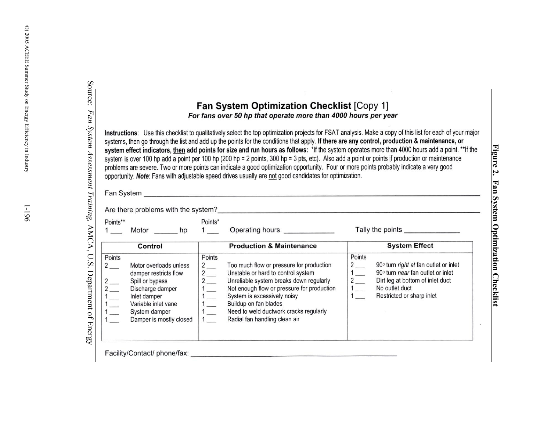|                                                             |                                                                                                                                                                           |                                                                                                                                         | <b>Fan System Optimization Checklist [Copy 1]</b><br>For fans over 50 hp that operate more than 4000 hours per year                                                                                                                                                                                                                                                                                                                                                                                                                                                                                                                                                                                                                                                                                                                                                  |                                                                                       |                                                                                                                                                               |
|-------------------------------------------------------------|---------------------------------------------------------------------------------------------------------------------------------------------------------------------------|-----------------------------------------------------------------------------------------------------------------------------------------|----------------------------------------------------------------------------------------------------------------------------------------------------------------------------------------------------------------------------------------------------------------------------------------------------------------------------------------------------------------------------------------------------------------------------------------------------------------------------------------------------------------------------------------------------------------------------------------------------------------------------------------------------------------------------------------------------------------------------------------------------------------------------------------------------------------------------------------------------------------------|---------------------------------------------------------------------------------------|---------------------------------------------------------------------------------------------------------------------------------------------------------------|
|                                                             |                                                                                                                                                                           |                                                                                                                                         | Instructions: Use this checklist to qualitatively select the top optimization projects for FSAT analysis. Make a copy of this list for each of your major<br>systems, then go through the list and add up the points for the conditions that apply. If there are any control, production & maintenance, or<br>system effect indicators, then add points for size and run hours as follows: *If the system operates more than 4000 hours add a point. **If the<br>system is over 100 hp add a point per 100 hp (200 hp = 2 points, 300 hp = 3 pts, etc). Also add a point or points if production or maintenance<br>problems are severe. Two or more points can indicate a good optimization opportunity. Four or more points probably indicate a very good<br>opportunity. Note: Fans with adjustable speed drives usually are not good candidates for optimization. |                                                                                       |                                                                                                                                                               |
|                                                             |                                                                                                                                                                           |                                                                                                                                         | Are there problems with the system?                                                                                                                                                                                                                                                                                                                                                                                                                                                                                                                                                                                                                                                                                                                                                                                                                                  |                                                                                       |                                                                                                                                                               |
| Points**                                                    |                                                                                                                                                                           | Points*                                                                                                                                 | 1 ____ Motor _______ hp 1 ____ Operating hours ____________                                                                                                                                                                                                                                                                                                                                                                                                                                                                                                                                                                                                                                                                                                                                                                                                          |                                                                                       |                                                                                                                                                               |
|                                                             | Control                                                                                                                                                                   |                                                                                                                                         | <b>Production &amp; Maintenance</b>                                                                                                                                                                                                                                                                                                                                                                                                                                                                                                                                                                                                                                                                                                                                                                                                                                  |                                                                                       | <b>System Effect</b>                                                                                                                                          |
| Points<br>$2 \quad \blacksquare$<br>$2$ —<br>$2$ —<br>$1 -$ | Motor overloads unless<br>damper restricts flow<br>Spill or bypass<br>Discharge damper<br>Inlet damper<br>Variable inlet vane<br>System damper<br>Damper is mostly closed | Points<br>$2\overline{)}$<br>$2$ —<br>$\frac{2}{1}$ $\frac{1}{1}$ $\frac{1}{1}$ $\frac{1}{1}$ $\frac{1}{1}$ $\frac{1}{1}$ $\frac{1}{1}$ | Too much flow or pressure for production<br>Unstable or hard to control system<br>Unreliable system breaks down regularly<br>Not enough flow or pressure for production<br>System is excessively noisy<br>Buildup on fan blades<br>Need to weld ductwork cracks regularly<br>Radial fan handling clean air                                                                                                                                                                                                                                                                                                                                                                                                                                                                                                                                                           | Points<br>$2$ —<br>$\frac{1}{\sqrt{2}}$<br>$\begin{array}{c} 2 \\ 1 \\ 1 \end{array}$ | 90° turn right at fan outlet or inlet<br>90° turn near fan outlet or inlet<br>Dirt leg at bottom of inlet duct<br>No outlet duct<br>Restricted or sharp inlet |

**Figure 2. Fan System Optimization Checklist** 

Figure 2. Fan System Optimization Checklist

 $\odot)$  2005 ACEEE Summer Study on Energy Efficiency in Industry  $\degree$ ) 2005 ACEEE Summer Study on Energy Efficiency in Industry 1-196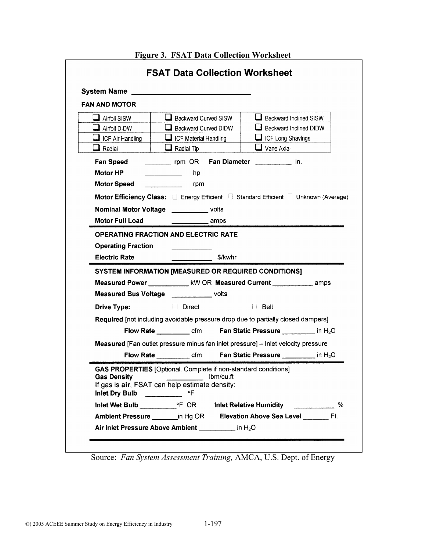| System Name _                                                                                                                                            |                           |           |                                                                                            |  |  |
|----------------------------------------------------------------------------------------------------------------------------------------------------------|---------------------------|-----------|--------------------------------------------------------------------------------------------|--|--|
| <b>FAN AND MOTOR</b>                                                                                                                                     |                           |           |                                                                                            |  |  |
| Airfoil SISW                                                                                                                                             | Backward Curved SISW      |           | Backward Inclined SISW                                                                     |  |  |
| Airfoil DIDW                                                                                                                                             | Backward Curved DIDW      |           | Backward Inclined DIDW                                                                     |  |  |
| $\Box$ ICF Air Handling                                                                                                                                  | ICF Material Handling     |           | ICF Long Shavings                                                                          |  |  |
| $\Box$ Radial                                                                                                                                            | $\Box$ Radial Tip         |           | $\Box$ Vane Axial                                                                          |  |  |
| <b>Fan Speed</b>                                                                                                                                         | rpm OR Fan Diameter       |           | in.                                                                                        |  |  |
| Motor HP                                                                                                                                                 | hp                        |           |                                                                                            |  |  |
| <b>Motor Speed</b>                                                                                                                                       | rpm                       |           |                                                                                            |  |  |
|                                                                                                                                                          |                           |           | <b>Motor Efficiency Class:</b> □ Energy Efficient □ Standard Efficient □ Unknown (Average) |  |  |
| <b>Nominal Motor Voltage volts</b>                                                                                                                       |                           |           |                                                                                            |  |  |
| <b>Motor Full Load</b>                                                                                                                                   |                           | amps      |                                                                                            |  |  |
| SYSTEM INFORMATION [MEASURED OR REQUIRED CONDITIONS]<br>Measured Power ____________ kW OR Measured Current ____________ amps                             |                           |           |                                                                                            |  |  |
| Measured Bus Voltage _____________ volts                                                                                                                 |                           |           |                                                                                            |  |  |
| <b>Drive Type:</b>                                                                                                                                       | <b>Example 1.1 Direct</b> |           | i Belt                                                                                     |  |  |
|                                                                                                                                                          |                           |           | Required [not including avoidable pressure drop due to partially closed dampers]           |  |  |
|                                                                                                                                                          |                           |           | Flow Rate ____________ cfm Fan Static Pressure ____________ in H <sub>2</sub> O            |  |  |
|                                                                                                                                                          |                           |           | Measured [Fan outlet pressure minus fan inlet pressure] - Inlet velocity pressure          |  |  |
|                                                                                                                                                          |                           |           | Flow Rate ____________ cfm Fan Static Pressure ____________ in H <sub>2</sub> O            |  |  |
|                                                                                                                                                          |                           |           |                                                                                            |  |  |
| GAS PROPERTIES [Optional. Complete if non-standard conditions]<br><b>Gas Density</b><br>If gas is air, FSAT can help estimate density:<br>Inlet Dry Bulb | °F                        | Ibm/cu.ft |                                                                                            |  |  |
|                                                                                                                                                          |                           |           |                                                                                            |  |  |

**Figure 3. FSAT Data Collection Worksheet** 

Source: *Fan System Assessment Training,* AMCA, U.S. Dept. of Energy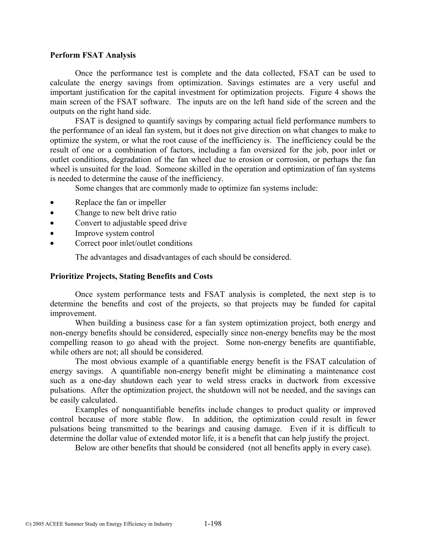#### **Perform FSAT Analysis**

Once the performance test is complete and the data collected, FSAT can be used to calculate the energy savings from optimization. Savings estimates are a very useful and important justification for the capital investment for optimization projects. Figure 4 shows the main screen of the FSAT software. The inputs are on the left hand side of the screen and the outputs on the right hand side.

FSAT is designed to quantify savings by comparing actual field performance numbers to the performance of an ideal fan system, but it does not give direction on what changes to make to optimize the system, or what the root cause of the inefficiency is. The inefficiency could be the result of one or a combination of factors, including a fan oversized for the job, poor inlet or outlet conditions, degradation of the fan wheel due to erosion or corrosion, or perhaps the fan wheel is unsuited for the load. Someone skilled in the operation and optimization of fan systems is needed to determine the cause of the inefficiency.

Some changes that are commonly made to optimize fan systems include:

- Replace the fan or impeller
- Change to new belt drive ratio
- Convert to adjustable speed drive
- Improve system control
- Correct poor inlet/outlet conditions

The advantages and disadvantages of each should be considered.

#### **Prioritize Projects, Stating Benefits and Costs**

Once system performance tests and FSAT analysis is completed, the next step is to determine the benefits and cost of the projects, so that projects may be funded for capital improvement.

When building a business case for a fan system optimization project, both energy and non-energy benefits should be considered, especially since non-energy benefits may be the most compelling reason to go ahead with the project. Some non-energy benefits are quantifiable, while others are not; all should be considered.

The most obvious example of a quantifiable energy benefit is the FSAT calculation of energy savings. A quantifiable non-energy benefit might be eliminating a maintenance cost such as a one-day shutdown each year to weld stress cracks in ductwork from excessive pulsations. After the optimization project, the shutdown will not be needed, and the savings can be easily calculated.

Examples of nonquantifiable benefits include changes to product quality or improved control because of more stable flow. In addition, the optimization could result in fewer pulsations being transmitted to the bearings and causing damage. Even if it is difficult to determine the dollar value of extended motor life, it is a benefit that can help justify the project.

Below are other benefits that should be considered (not all benefits apply in every case).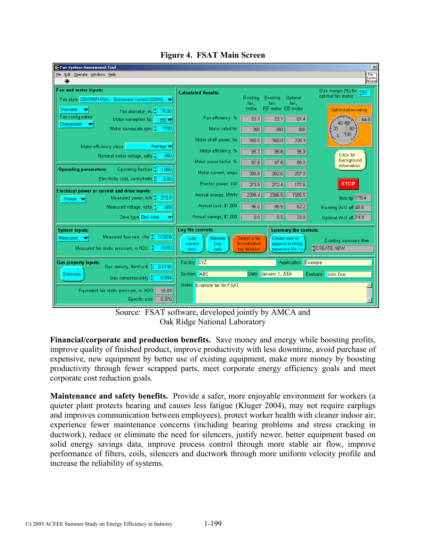

**Figure 4. FSAT Main Screen**

Source: FSAT software, developed jointly by AMCA and Oak Ridge National Laboratory

**Financial/corporate and production benefits.** Save money and energy while boosting profits, improve quality of finished product, improve productivity with less downtime, avoid purchase of expensive, new equipment by better use of existing equipment, make more money by boosting productivity through fewer scrapped parts, meet corporate energy efficiency goals and meet corporate cost reduction goals.

**Maintenance and safety benefits.** Provide a safer, more enjoyable environment for workers (a quieter plant protects hearing and causes less fatigue (Kluger 2004), may not require earplugs and improves communication between employees), protect worker health with cleaner indoor air, experience fewer maintenance concerns (including bearing problems and stress cracking in ductwork), reduce or eliminate the need for silencers, justify newer, better equipment based on solid energy savings data, improve process control through more stable air flow, improve performance of filters, coils, silencers and ductwork through more uniform velocity profile and increase the reliability of systems.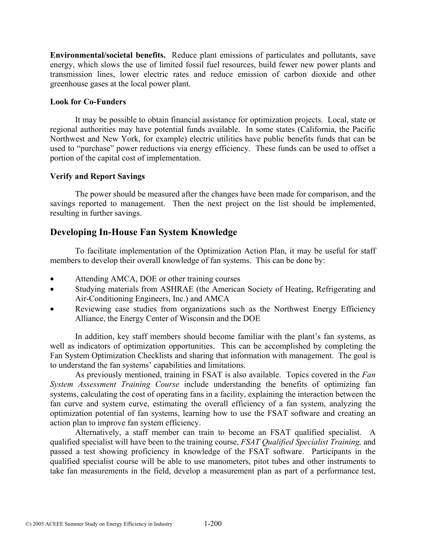**Environmental/societal benefits.** Reduce plant emissions of particulates and pollutants, save energy, which slows the use of limited fossil fuel resources, build fewer new power plants and transmission lines, lower electric rates and reduce emission of carbon dioxide and other greenhouse gases at the local power plant.

### **Look for Co-Funders**

It may be possible to obtain financial assistance for optimization projects. Local, state or regional authorities may have potential funds available. In some states (California, the Pacific Northwest and New York, for example) electric utilities have public benefits funds that can be used to "purchase" power reductions via energy efficiency. These funds can be used to offset a portion of the capital cost of implementation.

## **Verify and Report Savings**

The power should be measured after the changes have been made for comparison, and the savings reported to management. Then the next project on the list should be implemented, resulting in further savings.

# **Developing In-House Fan System Knowledge**

To facilitate implementation of the Optimization Action Plan, it may be useful for staff members to develop their overall knowledge of fan systems. This can be done by:

- Attending AMCA, DOE or other training courses
- Studying materials from ASHRAE (the American Society of Heating, Refrigerating and Air-Conditioning Engineers, Inc.) and AMCA
- Reviewing case studies from organizations such as the Northwest Energy Efficiency Alliance, the Energy Center of Wisconsin and the DOE

In addition, key staff members should become familiar with the plant's fan systems, as well as indicators of optimization opportunities. This can be accomplished by completing the Fan System Optimization Checklists and sharing that information with management. The goal is to understand the fan systems' capabilities and limitations.

As previously mentioned, training in FSAT is also available. Topics covered in the *Fan System Assessment Training Course* include understanding the benefits of optimizing fan systems, calculating the cost of operating fans in a facility, explaining the interaction between the fan curve and system curve, estimating the overall efficiency of a fan system, analyzing the optimization potential of fan systems, learning how to use the FSAT software and creating an action plan to improve fan system efficiency.

Alternatively, a staff member can train to become an FSAT qualified specialist. A qualified specialist will have been to the training course, *FSAT Qualified Specialist Training,* and passed a test showing proficiency in knowledge of the FSAT software. Participants in the qualified specialist course will be able to use manometers, pitot tubes and other instruments to take fan measurements in the field, develop a measurement plan as part of a performance test,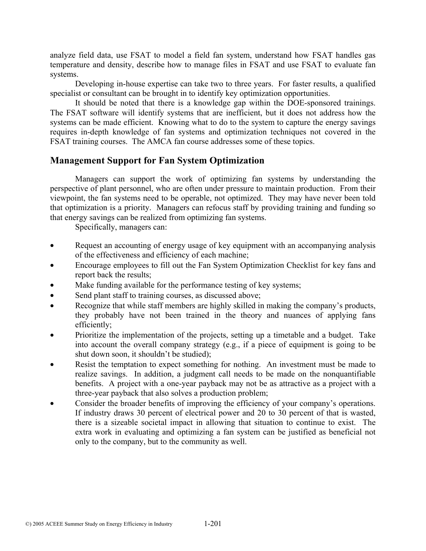analyze field data, use FSAT to model a field fan system, understand how FSAT handles gas temperature and density, describe how to manage files in FSAT and use FSAT to evaluate fan systems.

Developing in-house expertise can take two to three years. For faster results, a qualified specialist or consultant can be brought in to identify key optimization opportunities.

It should be noted that there is a knowledge gap within the DOE-sponsored trainings. The FSAT software will identify systems that are inefficient, but it does not address how the systems can be made efficient. Knowing what to do to the system to capture the energy savings requires in-depth knowledge of fan systems and optimization techniques not covered in the FSAT training courses. The AMCA fan course addresses some of these topics.

# **Management Support for Fan System Optimization**

Managers can support the work of optimizing fan systems by understanding the perspective of plant personnel, who are often under pressure to maintain production. From their viewpoint, the fan systems need to be operable, not optimized. They may have never been told that optimization is a priority. Managers can refocus staff by providing training and funding so that energy savings can be realized from optimizing fan systems.

Specifically, managers can:

- Request an accounting of energy usage of key equipment with an accompanying analysis of the effectiveness and efficiency of each machine;
- Encourage employees to fill out the Fan System Optimization Checklist for key fans and report back the results;
- Make funding available for the performance testing of key systems;
- Send plant staff to training courses, as discussed above;
- Recognize that while staff members are highly skilled in making the company's products, they probably have not been trained in the theory and nuances of applying fans efficiently;
- Prioritize the implementation of the projects, setting up a timetable and a budget. Take into account the overall company strategy (e.g., if a piece of equipment is going to be shut down soon, it shouldn't be studied);
- Resist the temptation to expect something for nothing. An investment must be made to realize savings. In addition, a judgment call needs to be made on the nonquantifiable benefits. A project with a one-year payback may not be as attractive as a project with a three-year payback that also solves a production problem;
- Consider the broader benefits of improving the efficiency of your company's operations. If industry draws 30 percent of electrical power and 20 to 30 percent of that is wasted, there is a sizeable societal impact in allowing that situation to continue to exist. The extra work in evaluating and optimizing a fan system can be justified as beneficial not only to the company, but to the community as well.